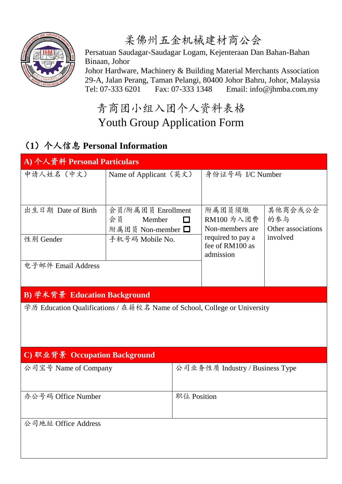

柔佛州五金机械建材商公会

 Persatuan Saudagar-Saudagar Logam, Kejenteraan Dan Bahan-Bahan Binaan, Johor

 Johor Hardware, Machinery & Building Material Merchants Association 29-A, Jalan Perang, Taman Pelangi, 80400 Johor Bahru, Johor, Malaysia Tel: 07-333 6201 Fax: 07-333 1348 Email: info@jhmba.com.my

## 青商团小组入团个人资料表格 Youth Group Application Form

## (**1**)个人信息 **Personal Information**

| A) 个人资料 Personal Particulars                                             |                               |                                                                                      |                                                                                 |  |
|--------------------------------------------------------------------------|-------------------------------|--------------------------------------------------------------------------------------|---------------------------------------------------------------------------------|--|
|                                                                          |                               | 身份证号码 I/C Number                                                                     |                                                                                 |  |
|                                                                          |                               |                                                                                      |                                                                                 |  |
| 会员<br>Member                                                             | □                             | RM100 为入团费                                                                           | 其他商会或公会<br>的参与                                                                  |  |
|                                                                          |                               | required to pay a                                                                    | Other associations<br>involved                                                  |  |
|                                                                          |                               | admission                                                                            |                                                                                 |  |
|                                                                          |                               |                                                                                      |                                                                                 |  |
| B) 学术背景 Education Background                                             |                               |                                                                                      |                                                                                 |  |
| 学历 Education Qualifications / 在籍校名 Name of School, College or University |                               |                                                                                      |                                                                                 |  |
|                                                                          |                               |                                                                                      |                                                                                 |  |
|                                                                          |                               |                                                                                      |                                                                                 |  |
| 公司宝号 Name of Company                                                     |                               |                                                                                      |                                                                                 |  |
|                                                                          | 职位 Position                   |                                                                                      |                                                                                 |  |
|                                                                          |                               |                                                                                      |                                                                                 |  |
|                                                                          | C) 职业背景 Occupation Background | Name of Applicant (英文)<br>会员/附属团员 Enrollment<br>附属团员 Non-member □<br>手机号码 Mobile No. | 附属团员须缴<br>Non-members are<br>fee of RM100 as<br>公司业务性质 Industry / Business Type |  |